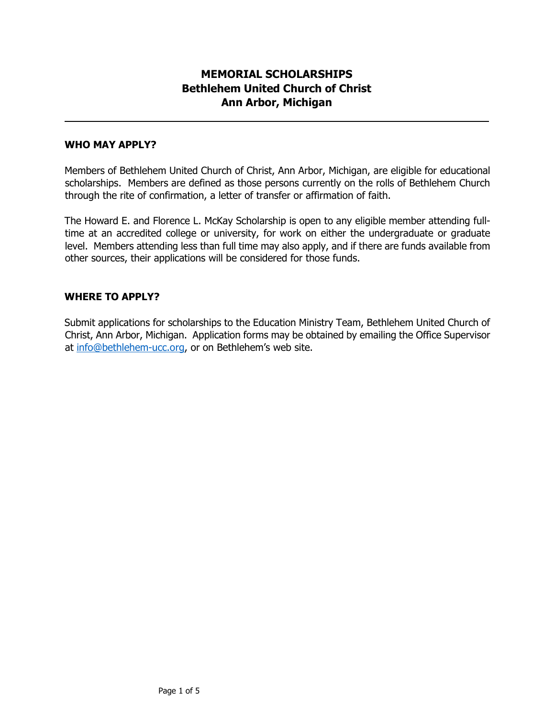## **MEMORIAL SCHOLARSHIPS Bethlehem United Church of Christ Ann Arbor, Michigan**

#### **WHO MAY APPLY?**

Members of Bethlehem United Church of Christ, Ann Arbor, Michigan, are eligible for educational scholarships. Members are defined as those persons currently on the rolls of Bethlehem Church through the rite of confirmation, a letter of transfer or affirmation of faith.

The Howard E. and Florence L. McKay Scholarship is open to any eligible member attending fulltime at an accredited college or university, for work on either the undergraduate or graduate level. Members attending less than full time may also apply, and if there are funds available from other sources, their applications will be considered for those funds.

#### **WHERE TO APPLY?**

Submit applications for scholarships to the Education Ministry Team, Bethlehem United Church of Christ, Ann Arbor, Michigan. Application forms may be obtained by emailing the Office Supervisor at [info@bethlehem-ucc.org,](mailto:info@bethlehem-ucc.org) or on Bethlehem's web site.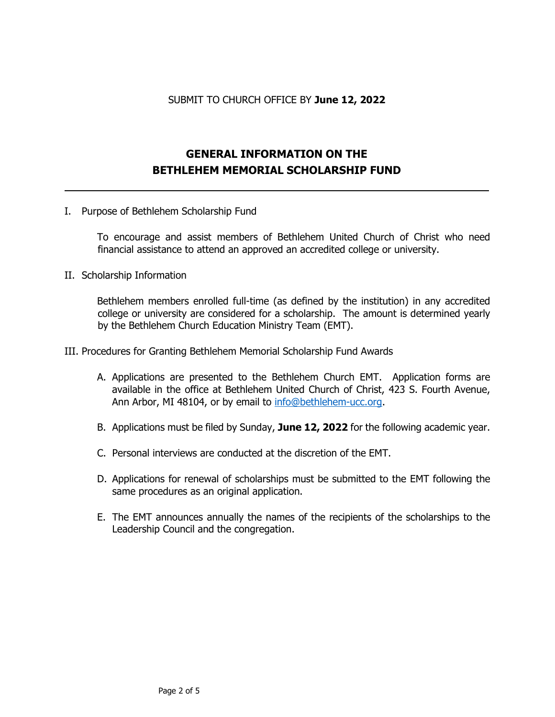#### SUBMIT TO CHURCH OFFICE BY **June 12, 2022**

# **GENERAL INFORMATION ON THE BETHLEHEM MEMORIAL SCHOLARSHIP FUND**

I. Purpose of Bethlehem Scholarship Fund

To encourage and assist members of Bethlehem United Church of Christ who need financial assistance to attend an approved an accredited college or university.

II. Scholarship Information

Bethlehem members enrolled full-time (as defined by the institution) in any accredited college or university are considered for a scholarship. The amount is determined yearly by the Bethlehem Church Education Ministry Team (EMT).

- III. Procedures for Granting Bethlehem Memorial Scholarship Fund Awards
	- A. Applications are presented to the Bethlehem Church EMT. Application forms are available in the office at Bethlehem United Church of Christ, 423 S. Fourth Avenue, Ann Arbor, MI 48104, or by email to [info@bethlehem-ucc.org.](mailto:info@bethlehem-ucc.org)
	- B. Applications must be filed by Sunday, **June 12, 2022** for the following academic year.
	- C. Personal interviews are conducted at the discretion of the EMT.
	- D. Applications for renewal of scholarships must be submitted to the EMT following the same procedures as an original application.
	- E. The EMT announces annually the names of the recipients of the scholarships to the Leadership Council and the congregation.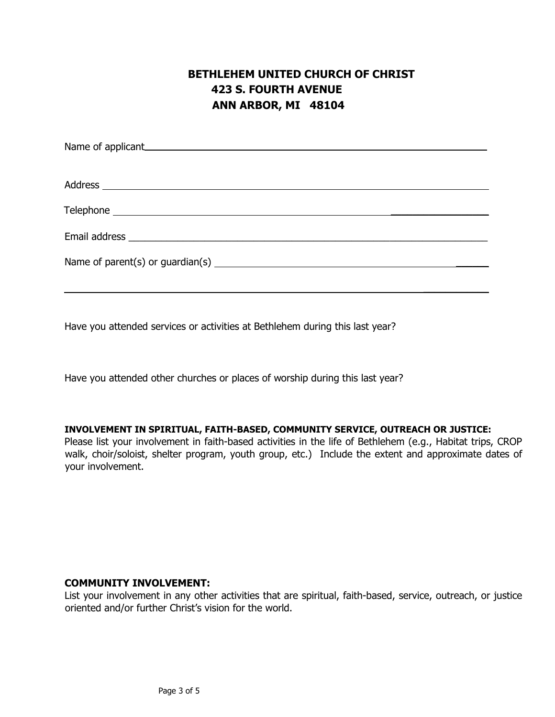# **BETHLEHEM UNITED CHURCH OF CHRIST 423 S. FOURTH AVENUE ANN ARBOR, MI 48104**

| Name of applicant Manual Assembly and Assembly and Assembly and Assembly and Assembly and Assembly and Assembly |  |  |  |
|-----------------------------------------------------------------------------------------------------------------|--|--|--|
|                                                                                                                 |  |  |  |
|                                                                                                                 |  |  |  |
|                                                                                                                 |  |  |  |
|                                                                                                                 |  |  |  |
|                                                                                                                 |  |  |  |
|                                                                                                                 |  |  |  |

Have you attended services or activities at Bethlehem during this last year?

Have you attended other churches or places of worship during this last year?

#### **INVOLVEMENT IN SPIRITUAL, FAITH-BASED, COMMUNITY SERVICE, OUTREACH OR JUSTICE:**

Please list your involvement in faith-based activities in the life of Bethlehem (e.g., Habitat trips, CROP walk, choir/soloist, shelter program, youth group, etc.) Include the extent and approximate dates of your involvement.

#### **COMMUNITY INVOLVEMENT:**

List your involvement in any other activities that are spiritual, faith-based, service, outreach, or justice oriented and/or further Christ's vision for the world.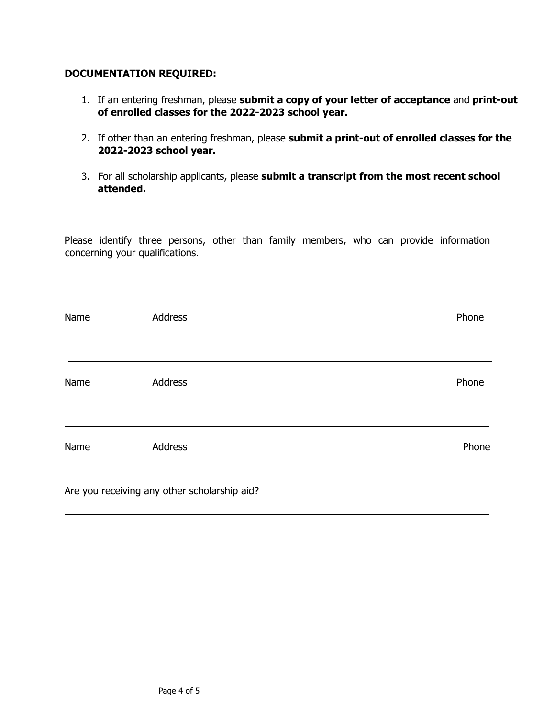#### **DOCUMENTATION REQUIRED:**

- 1. If an entering freshman, please **submit a copy of your letter of acceptance** and **print-out of enrolled classes for the 2022-2023 school year.**
- 2. If other than an entering freshman, please **submit a print-out of enrolled classes for the 2022-2023 school year.**
- 3. For all scholarship applicants, please **submit a transcript from the most recent school attended.**

Please identify three persons, other than family members, who can provide information concerning your qualifications.

| Name | Address                                      | Phone |
|------|----------------------------------------------|-------|
| Name | Address                                      | Phone |
| Name | <b>Address</b>                               | Phone |
|      | Are you receiving any other scholarship aid? |       |